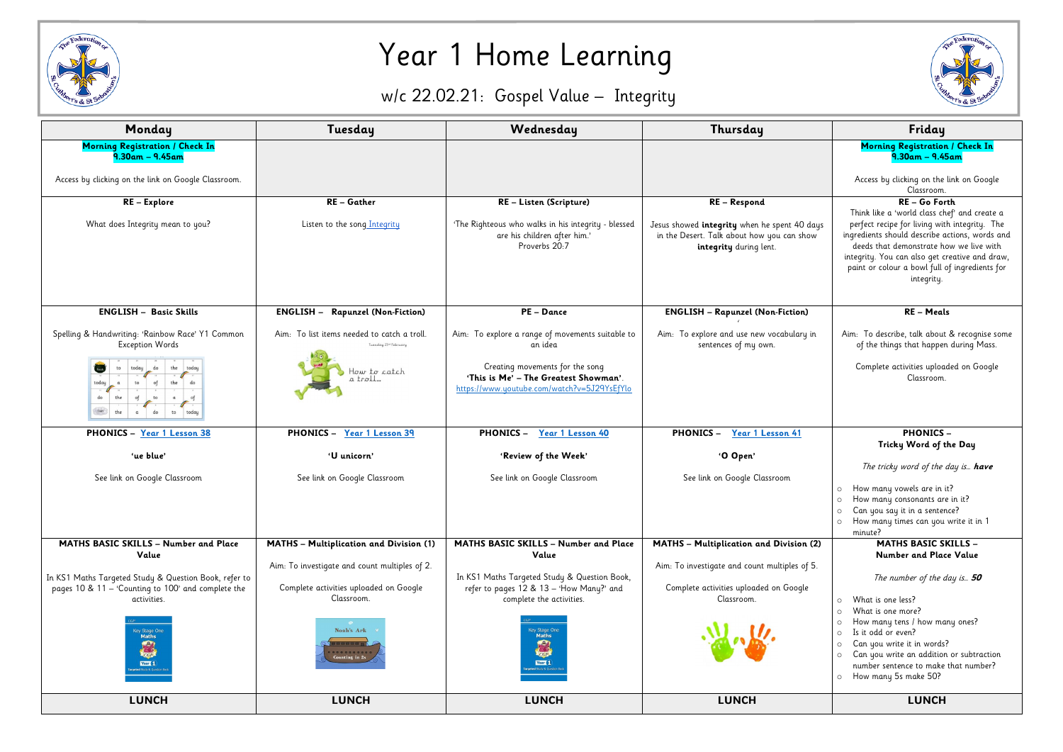| Monday                                                                                                                              | Tuesday                                                                                               | Wednesday                                                                                                                     | Thursday                                                                                                             | Friday                                                                                                                                                                                                   |
|-------------------------------------------------------------------------------------------------------------------------------------|-------------------------------------------------------------------------------------------------------|-------------------------------------------------------------------------------------------------------------------------------|----------------------------------------------------------------------------------------------------------------------|----------------------------------------------------------------------------------------------------------------------------------------------------------------------------------------------------------|
| <b>Morning Registration / Check In</b><br>$9.30$ am - $9.45$ am                                                                     |                                                                                                       |                                                                                                                               |                                                                                                                      | <b>Morning Registration</b><br>$9.30$ am - $9.4$                                                                                                                                                         |
| Access by clicking on the link on Google Classroom.                                                                                 |                                                                                                       |                                                                                                                               |                                                                                                                      | Access by clicking on the<br>Classroom.                                                                                                                                                                  |
| <b>RE</b> – Explore                                                                                                                 | RE - Gather                                                                                           | RE - Listen (Scripture)                                                                                                       | RE-Respond                                                                                                           | RE - Go For                                                                                                                                                                                              |
| What does Integrity mean to you?                                                                                                    | Listen to the song Integrity                                                                          | 'The Righteous who walks in his integrity - blessed<br>are his children after him.'<br>Proverbs 20:7                          | Jesus showed integrity when he spent 40 days<br>in the Desert. Talk about how you can show<br>integrity during lent. | Think like a 'world class ch<br>perfect recipe for living wit<br>ingredients should describe c<br>deeds that demonstrate h<br>integrity. You can also get c<br>paint or colour a bowl full<br>integrity. |
| <b>ENGLISH - Basic Skills</b>                                                                                                       | <b>ENGLISH - Rapunzel (Non-Fiction)</b>                                                               | PE - Dance                                                                                                                    | <b>ENGLISH - Rapunzel (Non-Fiction)</b>                                                                              | RE - Meal                                                                                                                                                                                                |
| Spelling & Handwriting: 'Rainbow Race' Y1 Common<br><b>Exception Words</b>                                                          | Aim: To list items needed to catch a troll.<br>Tuesday 23 <sup>rd</sup> February                      | Aim: To explore a range of movements suitable to<br>an idea                                                                   | Aim: To explore and use new vocabulary in<br>sentences of my own.                                                    | Aim: To describe, talk about<br>of the things that happer                                                                                                                                                |
| <b>Einish</b><br>todau<br>today<br>do<br>to<br>today                                                                                | How to catch<br>a troll                                                                               | Creating movements for the song<br>'This is Me' - The Greatest Showman'.<br>https://www.youtube.com/watch?v=5J29YsEfYlo       |                                                                                                                      | Complete activities uploa<br>Classroom.                                                                                                                                                                  |
| <b>PHONICS - Year 1 Lesson 38</b>                                                                                                   | PHONICS - Year 1 Lesson 39                                                                            | <b>PHONICS –</b><br>Year 1 Lesson 40                                                                                          | <b>PHONICS –</b><br>Year 1 Lesson 41                                                                                 | <b>PHONICS</b>                                                                                                                                                                                           |
| 'ue blue'                                                                                                                           | 'U unicorn'                                                                                           | 'Review of the Week'                                                                                                          | 'O Open'                                                                                                             | Tricky Word of t                                                                                                                                                                                         |
| See link on Google Classroom                                                                                                        | See link on Google Classroom                                                                          | See link on Google Classroom                                                                                                  | See link on Google Classroom                                                                                         | The tricky word of the<br>How many vowels are in<br>$\circ$<br>How many consonants ar<br>Can you say it in a senter<br>$\circ$<br>$\circ$ How many times can you<br>minute?                              |
| <b>MATHS BASIC SKILLS - Number and Place</b>                                                                                        | <b>MATHS</b> - Multiplication and Division (1)                                                        | <b>MATHS BASIC SKILLS - Number and Place</b>                                                                                  | <b>MATHS - Multiplication and Division (2)</b>                                                                       | <b>MATHS BASICS</b>                                                                                                                                                                                      |
| Value<br>In KS1 Maths Targeted Study & Question Book, refer to<br>pages 10 & 11 - 'Counting to 100' and complete the<br>activities. | Aim: To investigate and count multiples of 2.<br>Complete activities uploaded on Google<br>Classroom. | Value<br>In KS1 Maths Targeted Study & Question Book,<br>refer to pages 12 & 13 - 'How Many?' and<br>complete the activities. | Aim: To investigate and count multiples of 5.<br>Complete activities uploaded on Google<br>Classroom.                | Number and Plac<br>The number of the c<br>What is one less?<br>$\circ$<br>What is one more?<br>$\circ$                                                                                                   |
| Key Stage One<br><b>Maths</b><br>EGR<br>Year 1<br>jeted Study & Question Bos                                                        | Noah's Ark<br>200000 m<br>$0.0.0.0.0.0.0.0.0.1$<br>Counting in 2s                                     | Key Stage One<br><b>Maths</b><br>EGRE<br>Year 1<br>jeted Study & Question I                                                   |                                                                                                                      | How many tens / how mo<br>$\circ$<br>Is it odd or even?<br>$\circ$<br>Can you write it in words<br>$\circ$<br>Can you write an additior<br>$\circ$<br>number sentence to make<br>o How many 5s make 50?  |
| <b>LUNCH</b>                                                                                                                        | <b>LUNCH</b>                                                                                          | <b>LUNCH</b>                                                                                                                  | <b>LUNCH</b>                                                                                                         | <b>LUNCH</b>                                                                                                                                                                                             |



|         | Friday                                                                                |  |  |  |  |  |  |
|---------|---------------------------------------------------------------------------------------|--|--|--|--|--|--|
|         | <b>Morning Registration / Check In</b>                                                |  |  |  |  |  |  |
|         | 9.30am – 9.45am                                                                       |  |  |  |  |  |  |
|         |                                                                                       |  |  |  |  |  |  |
|         | Access by clicking on the link on Google                                              |  |  |  |  |  |  |
|         | Classroom.                                                                            |  |  |  |  |  |  |
|         | RE - Go Forth                                                                         |  |  |  |  |  |  |
|         | Think like a 'world class chef' and create a                                          |  |  |  |  |  |  |
| days    | perfect recipe for living with integrity. The                                         |  |  |  |  |  |  |
| ιow     | ingredients should describe actions, words and                                        |  |  |  |  |  |  |
|         | deeds that demonstrate how we live with                                               |  |  |  |  |  |  |
|         | integrity. You can also get creative and draw,                                        |  |  |  |  |  |  |
|         | paint or colour a bowl full of ingredients for                                        |  |  |  |  |  |  |
|         | integrity.                                                                            |  |  |  |  |  |  |
|         |                                                                                       |  |  |  |  |  |  |
| J)      | RE - Meals                                                                            |  |  |  |  |  |  |
|         |                                                                                       |  |  |  |  |  |  |
| y in    | Aim: To describe, talk about & recognise some                                         |  |  |  |  |  |  |
|         | of the things that happen during Mass.                                                |  |  |  |  |  |  |
|         |                                                                                       |  |  |  |  |  |  |
|         | Complete activities uploaded on Google                                                |  |  |  |  |  |  |
|         | Classroom.                                                                            |  |  |  |  |  |  |
|         |                                                                                       |  |  |  |  |  |  |
|         |                                                                                       |  |  |  |  |  |  |
|         |                                                                                       |  |  |  |  |  |  |
|         | <b>PHONICS -</b>                                                                      |  |  |  |  |  |  |
|         | Tricky Word of the Day                                                                |  |  |  |  |  |  |
|         |                                                                                       |  |  |  |  |  |  |
|         | The tricky word of the day is <b>have</b>                                             |  |  |  |  |  |  |
|         |                                                                                       |  |  |  |  |  |  |
|         | How many vowels are in it?<br>$\circ$                                                 |  |  |  |  |  |  |
|         | How many consonants are in it?<br>$\circ$<br>Can you say it in a sentence?<br>$\circ$ |  |  |  |  |  |  |
|         | How many times can you write it in 1<br>O                                             |  |  |  |  |  |  |
|         | minute?                                                                               |  |  |  |  |  |  |
| ี่น (2) | <b>MATHS BASIC SKILLS -</b>                                                           |  |  |  |  |  |  |
|         | <b>Number and Place Value</b>                                                         |  |  |  |  |  |  |
| յf 5.   |                                                                                       |  |  |  |  |  |  |
|         | The number of the day is $50$                                                         |  |  |  |  |  |  |
| .e      |                                                                                       |  |  |  |  |  |  |
|         | What is one less?<br>O                                                                |  |  |  |  |  |  |
|         | What is one more?<br>$\circ$                                                          |  |  |  |  |  |  |
|         | How many tens / how many ones?<br>$\circ$                                             |  |  |  |  |  |  |
|         | Is it odd or even?<br>$\circ$                                                         |  |  |  |  |  |  |
|         | Can you write it in words?<br>$\circ$                                                 |  |  |  |  |  |  |
|         | Can you write an addition or subtraction<br>$\circ$                                   |  |  |  |  |  |  |
|         | number sentence to make that number?                                                  |  |  |  |  |  |  |
|         | How many 5s make 50?<br>O                                                             |  |  |  |  |  |  |
|         | <b>LUNCH</b>                                                                          |  |  |  |  |  |  |
|         |                                                                                       |  |  |  |  |  |  |



## Year 1 Home Learning

w/c 22.02.21: Gospel Value – Integrity